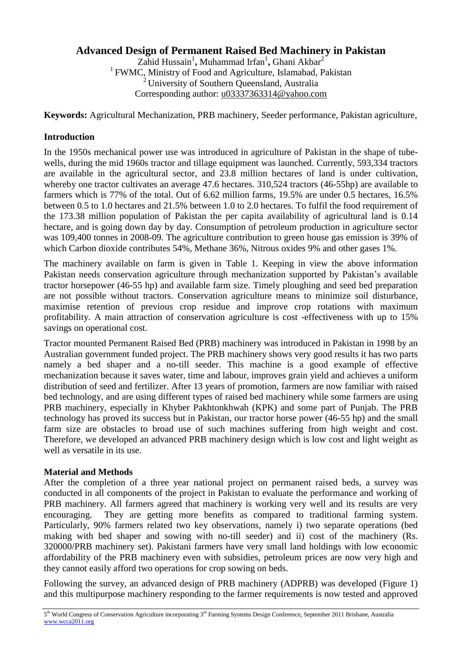# **Advanced Design of Permanent Raised Bed Machinery in Pakistan**

Zahid Hussain<sup>1</sup>, Muhammad Irfan<sup>1</sup>, Ghani Akbar<sup>2</sup> <sup>1</sup> FWMC, Ministry of Food and Agriculture, Islamabad, Pakistan  $2$  University of Southern Queensland, Australia Corresponding author: [u03337363314@yahoo.com](mailto:u03337363314@yahoo.com)

**Keywords:** Agricultural Mechanization, PRB machinery, Seeder performance, Pakistan agriculture,

# **Introduction**

In the 1950s mechanical power use was introduced in agriculture of Pakistan in the shape of tubewells, during the mid 1960s tractor and tillage equipment was launched. Currently, 593,334 tractors are available in the agricultural sector, and 23.8 million hectares of land is under cultivation, whereby one tractor cultivates an average 47.6 hectares. 310,524 tractors (46-55hp) are available to farmers which is 77% of the total. Out of 6.62 million farms, 19.5% are under 0.5 hectares, 16.5% between 0.5 to 1.0 hectares and 21.5% between 1.0 to 2.0 hectares. To fulfil the food requirement of the 173.38 million population of Pakistan the per capita availability of agricultural land is 0.14 hectare, and is going down day by day. Consumption of petroleum production in agriculture sector was 109,400 tonnes in 2008-09. The agriculture contribution to green house gas emission is 39% of which Carbon dioxide contributes 54%, Methane 36%, Nitrous oxides 9% and other gases 1%.

The machinery available on farm is given in Table 1. Keeping in view the above information Pakistan needs conservation agriculture through mechanization supported by Pakistan's available tractor horsepower (46-55 hp) and available farm size. Timely ploughing and seed bed preparation are not possible without tractors. Conservation agriculture means to minimize soil disturbance, maximise retention of previous crop residue and improve crop rotations with maximum profitability. A main attraction of conservation agriculture is cost -effectiveness with up to 15% savings on operational cost.

Tractor mounted Permanent Raised Bed (PRB) machinery was introduced in Pakistan in 1998 by an Australian government funded project. The PRB machinery shows very good results it has two parts namely a bed shaper and a no-till seeder. This machine is a good example of effective mechanization because it saves water, time and labour, improves grain yield and achieves a uniform distribution of seed and fertilizer. After 13 years of promotion, farmers are now familiar with raised bed technology, and are using different types of raised bed machinery while some farmers are using PRB machinery, especially in Khyber Pakhtonkhwah (KPK) and some part of Punjab. The PRB technology has proved its success but in Pakistan, our tractor horse power (46-55 hp) and the small farm size are obstacles to broad use of such machines suffering from high weight and cost. Therefore, we developed an advanced PRB machinery design which is low cost and light weight as well as versatile in its use.

### **Material and Methods**

After the completion of a three year national project on permanent raised beds, a survey was conducted in all components of the project in Pakistan to evaluate the performance and working of PRB machinery. All farmers agreed that machinery is working very well and its results are very encouraging. They are getting more benefits as compared to traditional farming system. Particularly, 90% farmers related two key observations, namely i) two separate operations (bed making with bed shaper and sowing with no-till seeder) and ii) cost of the machinery (Rs. 320000/PRB machinery set). Pakistani farmers have very small land holdings with low economic affordability of the PRB machinery even with subsidies, petroleum prices are now very high and they cannot easily afford two operations for crop sowing on beds.

Following the survey, an advanced design of PRB machinery (ADPRB) was developed (Figure 1) and this multipurpose machinery responding to the farmer requirements is now tested and approved

<sup>5&</sup>lt;sup>th</sup> World Congress of Conservation Agriculture incorporating 3<sup>rd</sup> Farming Systems Design Conference, September 2011 Brisbane, Australia www.wcca2011.org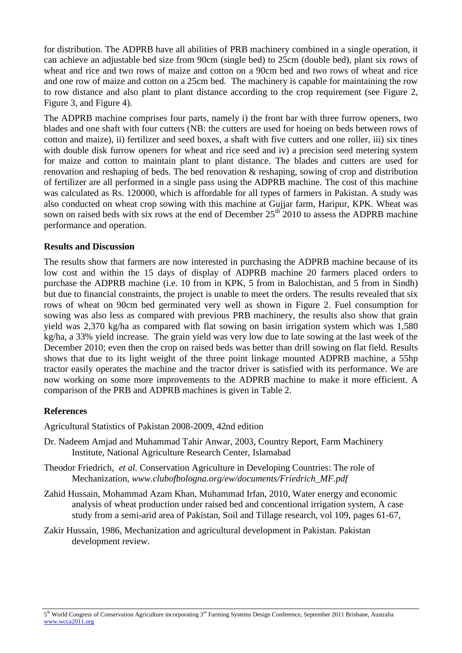for distribution. The ADPRB have all abilities of PRB machinery combined in a single operation, it can achieve an adjustable bed size from 90cm (single bed) to 25cm (double bed), plant six rows of wheat and rice and two rows of maize and cotton on a 90cm bed and two rows of wheat and rice and one row of maize and cotton on a 25cm bed. The machinery is capable for maintaining the row to row distance and also plant to plant distance according to the crop requirement (see Figure 2, Figure 3, and Figure 4).

The ADPRB machine comprises four parts, namely i) the front bar with three furrow openers, two blades and one shaft with four cutters (NB: the cutters are used for hoeing on beds between rows of cotton and maize), ii) fertilizer and seed boxes, a shaft with five cutters and one roller, iii) six tines with double disk furrow openers for wheat and rice seed and iv) a precision seed metering system for maize and cotton to maintain plant to plant distance. The blades and cutters are used for renovation and reshaping of beds. The bed renovation & reshaping, sowing of crop and distribution of fertilizer are all performed in a single pass using the ADPRB machine. The cost of this machine was calculated as Rs. 120000, which is affordable for all types of farmers in Pakistan. A study was also conducted on wheat crop sowing with this machine at Gujjar farm, Haripur, KPK. Wheat was sown on raised beds with six rows at the end of December  $25<sup>th</sup>$  2010 to assess the ADPRB machine performance and operation.

### **Results and Discussion**

The results show that farmers are now interested in purchasing the ADPRB machine because of its low cost and within the 15 days of display of ADPRB machine 20 farmers placed orders to purchase the ADPRB machine (i.e. 10 from in KPK, 5 from in Balochistan, and 5 from in Sindh) but due to financial constraints, the project is unable to meet the orders. The results revealed that six rows of wheat on 90cm bed germinated very well as shown in Figure 2. Fuel consumption for sowing was also less as compared with previous PRB machinery, the results also show that grain yield was 2,370 kg/ha as compared with flat sowing on basin irrigation system which was 1,580 kg/ha, a 33% yield increase. The grain yield was very low due to late sowing at the last week of the December 2010; even then the crop on raised beds was better than drill sowing on flat field. Results shows that due to its light weight of the three point linkage mounted ADPRB machine, a 55hp tractor easily operates the machine and the tractor driver is satisfied with its performance. We are now working on some more improvements to the ADPRB machine to make it more efficient. A comparison of the PRB and ADPRB machines is given in Table 2.

#### **References**

Agricultural Statistics of Pakistan 2008-2009, 42nd edition

- Dr. Nadeem Amjad and Muhammad Tahir Anwar, 2003, Country Report, Farm Machinery Institute, National Agriculture Research Center, Islamabad
- Theodor Friedrich, *et al.* Conservation Agriculture in Developing Countries: The role of Mechanization, *www.clubofbologna.org/ew/documents/Friedrich\_MF.pdf*
- Zahid Hussain, Mohammad Azam Khan, Muhammad Irfan, 2010, Water energy and economic analysis of wheat production under raised bed and concentional irrigation system, A case study from a semi-arid area of Pakistan, Soil and Tillage research, vol 109, pages 61-67,
- [Zakir Hussain,](http://encyclopedia.thefreedictionary.com/Zakir+Hussain) 1986, Mechanization and agricultural development in Pakistan. Pakistan development review.